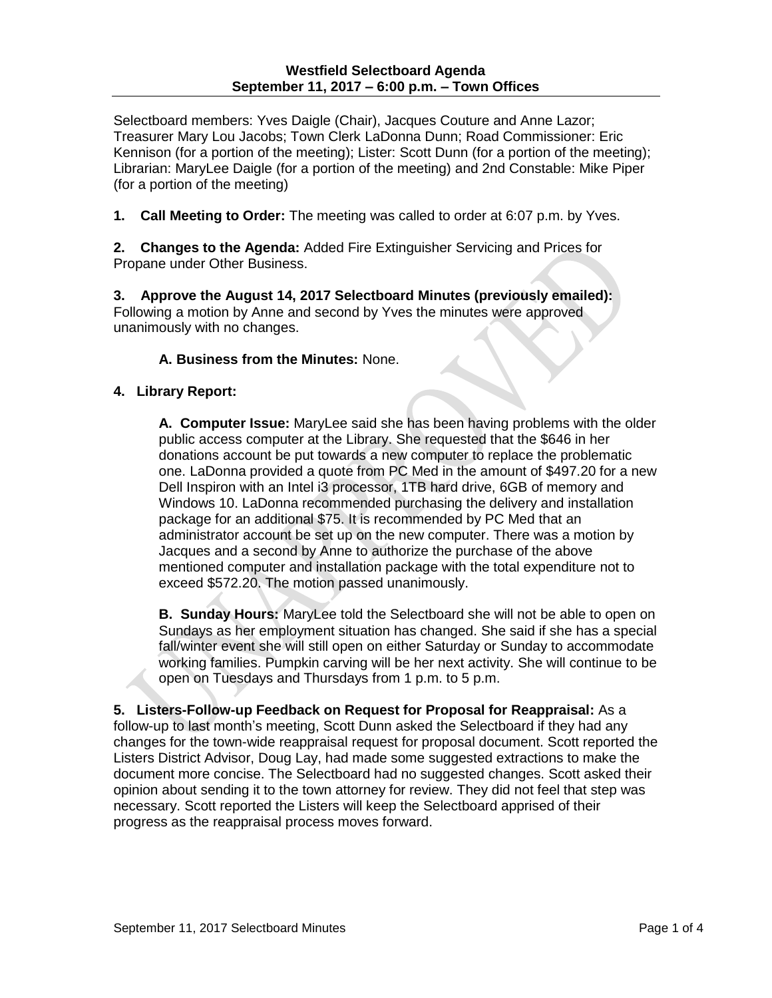Selectboard members: Yves Daigle (Chair), Jacques Couture and Anne Lazor; Treasurer Mary Lou Jacobs; Town Clerk LaDonna Dunn; Road Commissioner: Eric Kennison (for a portion of the meeting); Lister: Scott Dunn (for a portion of the meeting); Librarian: MaryLee Daigle (for a portion of the meeting) and 2nd Constable: Mike Piper (for a portion of the meeting)

**1. Call Meeting to Order:** The meeting was called to order at 6:07 p.m. by Yves.

**2. Changes to the Agenda:** Added Fire Extinguisher Servicing and Prices for Propane under Other Business.

**3. Approve the August 14, 2017 Selectboard Minutes (previously emailed):** Following a motion by Anne and second by Yves the minutes were approved unanimously with no changes.

# **A. Business from the Minutes:** None.

## **4. Library Report:**

**A. Computer Issue:** MaryLee said she has been having problems with the older public access computer at the Library. She requested that the \$646 in her donations account be put towards a new computer to replace the problematic one. LaDonna provided a quote from PC Med in the amount of \$497.20 for a new Dell Inspiron with an Intel i3 processor, 1TB hard drive, 6GB of memory and Windows 10. LaDonna recommended purchasing the delivery and installation package for an additional \$75. It is recommended by PC Med that an administrator account be set up on the new computer. There was a motion by Jacques and a second by Anne to authorize the purchase of the above mentioned computer and installation package with the total expenditure not to exceed \$572.20. The motion passed unanimously.

**B. Sunday Hours:** MaryLee told the Selectboard she will not be able to open on Sundays as her employment situation has changed. She said if she has a special fall/winter event she will still open on either Saturday or Sunday to accommodate working families. Pumpkin carving will be her next activity. She will continue to be open on Tuesdays and Thursdays from 1 p.m. to 5 p.m.

**5. Listers-Follow-up Feedback on Request for Proposal for Reappraisal:** As a follow-up to last month's meeting, Scott Dunn asked the Selectboard if they had any changes for the town-wide reappraisal request for proposal document. Scott reported the Listers District Advisor, Doug Lay, had made some suggested extractions to make the document more concise. The Selectboard had no suggested changes. Scott asked their opinion about sending it to the town attorney for review. They did not feel that step was necessary. Scott reported the Listers will keep the Selectboard apprised of their progress as the reappraisal process moves forward.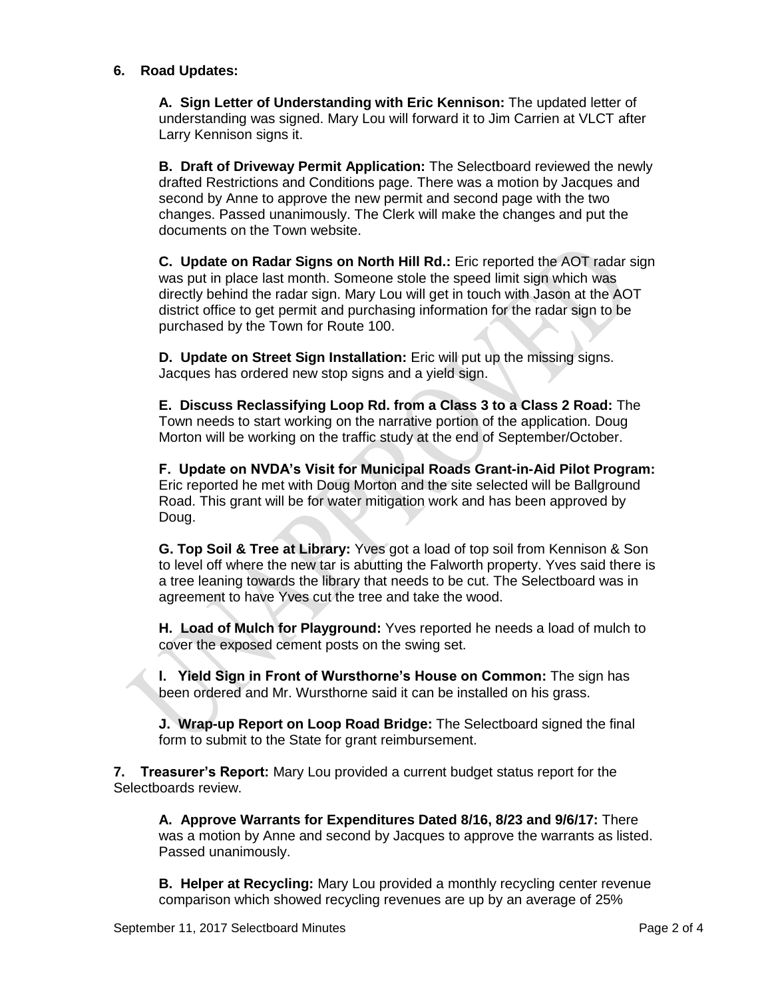### **6. Road Updates:**

**A. Sign Letter of Understanding with Eric Kennison:** The updated letter of understanding was signed. Mary Lou will forward it to Jim Carrien at VLCT after Larry Kennison signs it.

**B. Draft of Driveway Permit Application:** The Selectboard reviewed the newly drafted Restrictions and Conditions page. There was a motion by Jacques and second by Anne to approve the new permit and second page with the two changes. Passed unanimously. The Clerk will make the changes and put the documents on the Town website.

**C. Update on Radar Signs on North Hill Rd.:** Eric reported the AOT radar sign was put in place last month. Someone stole the speed limit sign which was directly behind the radar sign. Mary Lou will get in touch with Jason at the AOT district office to get permit and purchasing information for the radar sign to be purchased by the Town for Route 100.

**D. Update on Street Sign Installation:** Eric will put up the missing signs. Jacques has ordered new stop signs and a yield sign.

**E. Discuss Reclassifying Loop Rd. from a Class 3 to a Class 2 Road:** The Town needs to start working on the narrative portion of the application. Doug Morton will be working on the traffic study at the end of September/October.

**F. Update on NVDA's Visit for Municipal Roads Grant-in-Aid Pilot Program:** Eric reported he met with Doug Morton and the site selected will be Ballground Road. This grant will be for water mitigation work and has been approved by Doug.

**G. Top Soil & Tree at Library:** Yves got a load of top soil from Kennison & Son to level off where the new tar is abutting the Falworth property. Yves said there is a tree leaning towards the library that needs to be cut. The Selectboard was in agreement to have Yves cut the tree and take the wood.

**H. Load of Mulch for Playground:** Yves reported he needs a load of mulch to cover the exposed cement posts on the swing set.

**I. Yield Sign in Front of Wursthorne's House on Common:** The sign has been ordered and Mr. Wursthorne said it can be installed on his grass.

**J. Wrap-up Report on Loop Road Bridge:** The Selectboard signed the final form to submit to the State for grant reimbursement.

**7. Treasurer's Report:** Mary Lou provided a current budget status report for the Selectboards review.

**A. Approve Warrants for Expenditures Dated 8/16, 8/23 and 9/6/17:** There was a motion by Anne and second by Jacques to approve the warrants as listed. Passed unanimously.

**B. Helper at Recycling:** Mary Lou provided a monthly recycling center revenue comparison which showed recycling revenues are up by an average of 25%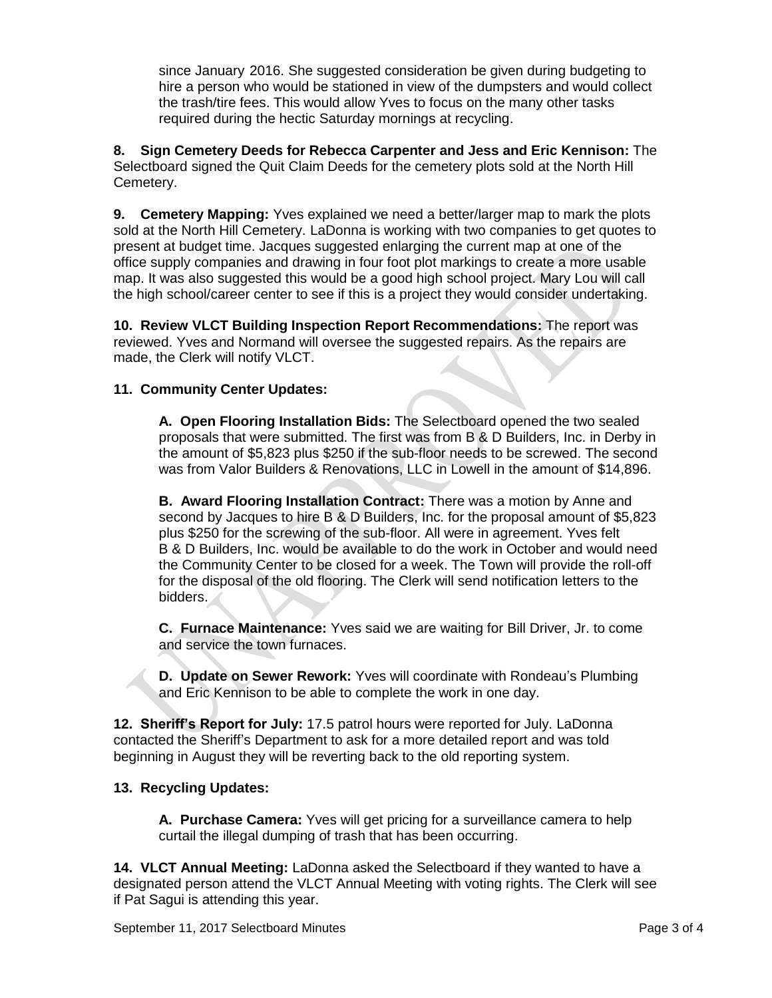since January 2016. She suggested consideration be given during budgeting to hire a person who would be stationed in view of the dumpsters and would collect the trash/tire fees. This would allow Yves to focus on the many other tasks required during the hectic Saturday mornings at recycling.

**8. Sign Cemetery Deeds for Rebecca Carpenter and Jess and Eric Kennison:** The Selectboard signed the Quit Claim Deeds for the cemetery plots sold at the North Hill Cemetery.

**9. Cemetery Mapping:** Yves explained we need a better/larger map to mark the plots sold at the North Hill Cemetery. LaDonna is working with two companies to get quotes to present at budget time. Jacques suggested enlarging the current map at one of the office supply companies and drawing in four foot plot markings to create a more usable map. It was also suggested this would be a good high school project. Mary Lou will call the high school/career center to see if this is a project they would consider undertaking.

**10. Review VLCT Building Inspection Report Recommendations:** The report was reviewed. Yves and Normand will oversee the suggested repairs. As the repairs are made, the Clerk will notify VLCT.

## **11. Community Center Updates:**

**A. Open Flooring Installation Bids:** The Selectboard opened the two sealed proposals that were submitted. The first was from B & D Builders, Inc. in Derby in the amount of \$5,823 plus \$250 if the sub-floor needs to be screwed. The second was from Valor Builders & Renovations, LLC in Lowell in the amount of \$14,896.

**B. Award Flooring Installation Contract:** There was a motion by Anne and second by Jacques to hire B & D Builders, Inc. for the proposal amount of \$5,823 plus \$250 for the screwing of the sub-floor. All were in agreement. Yves felt B & D Builders, Inc. would be available to do the work in October and would need the Community Center to be closed for a week. The Town will provide the roll-off for the disposal of the old flooring. The Clerk will send notification letters to the bidders.

**C. Furnace Maintenance:** Yves said we are waiting for Bill Driver, Jr. to come and service the town furnaces.

**D. Update on Sewer Rework:** Yves will coordinate with Rondeau's Plumbing and Eric Kennison to be able to complete the work in one day.

**12. Sheriff's Report for July:** 17.5 patrol hours were reported for July. LaDonna contacted the Sheriff's Department to ask for a more detailed report and was told beginning in August they will be reverting back to the old reporting system.

## **13. Recycling Updates:**

**A. Purchase Camera:** Yves will get pricing for a surveillance camera to help curtail the illegal dumping of trash that has been occurring.

**14. VLCT Annual Meeting:** LaDonna asked the Selectboard if they wanted to have a designated person attend the VLCT Annual Meeting with voting rights. The Clerk will see if Pat Sagui is attending this year.